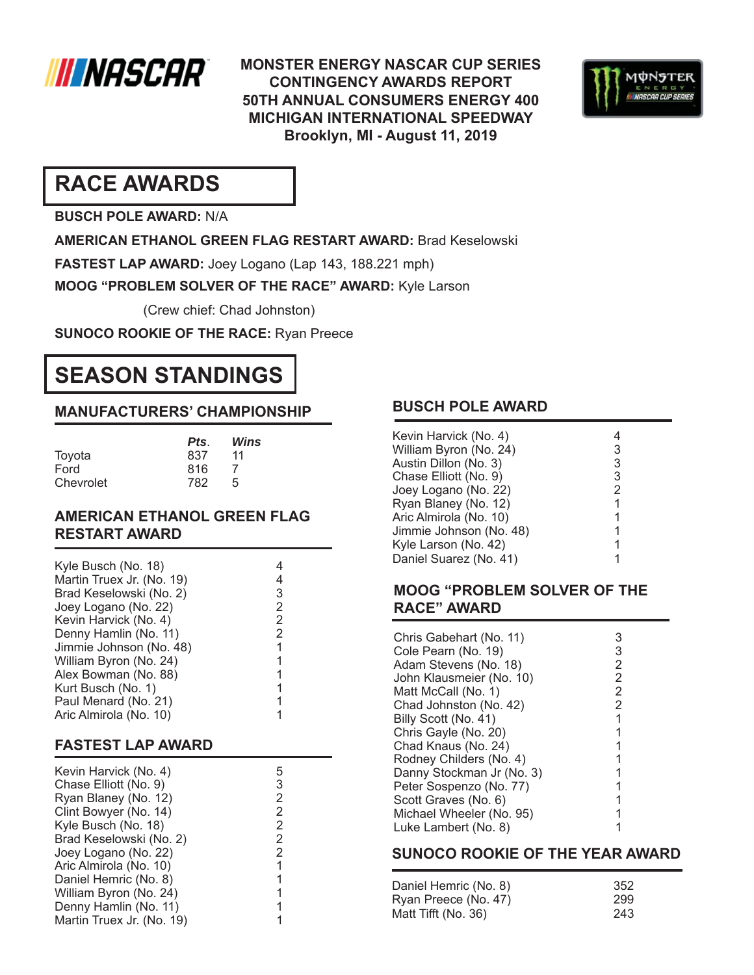

**MONSTER ENERGY NASCAR CUP SERIES CONTINGENCY AWARDS REPORT 50TH ANNUAL CONSUMERS ENERGY 400 MICHIGAN INTERNATIONAL SPEEDWAY Brooklyn, MI - August 11, 2019**



# **RACE AWARDS**

**BUSCH POLE AWARD:** N/A

**AMERICAN ETHANOL GREEN FLAG RESTART AWARD:** Brad Keselowski

**FASTEST LAP AWARD:** Joey Logano (Lap 143, 188.221 mph)

**MOOG "PROBLEM SOLVER OF THE RACE" AWARD:** Kyle Larson

(Crew chief: Chad Johnston)

**SUNOCO ROOKIE OF THE RACE:** Ryan Preece

# **SEASON STANDINGS**

### **MANUFACTURERS' CHAMPIONSHIP**

|           | Pts. | Wins |
|-----------|------|------|
| Toyota    | 837  | 11   |
| Ford      | 816  |      |
| Chevrolet | 782  | 5    |

#### **AMERICAN ETHANOL GREEN FLAG RESTART AWARD**

#### **FASTEST LAP AWARD**

| Kevin Harvick (No. 4)     | 5 |
|---------------------------|---|
| Chase Elliott (No. 9)     | 3 |
| Ryan Blaney (No. 12)      | 2 |
| Clint Bowyer (No. 14)     | 2 |
| Kyle Busch (No. 18)       | 2 |
| Brad Keselowski (No. 2)   | 2 |
| Joey Logano (No. 22)      | 2 |
| Aric Almirola (No. 10)    |   |
| Daniel Hemric (No. 8)     |   |
| William Byron (No. 24)    |   |
| Denny Hamlin (No. 11)     |   |
| Martin Truex Jr. (No. 19) |   |

## **BUSCH POLE AWARD**

| Kevin Harvick (No. 4)   |   |
|-------------------------|---|
| William Byron (No. 24)  | 3 |
| Austin Dillon (No. 3)   | 3 |
| Chase Elliott (No. 9)   | 3 |
| Joey Logano (No. 22)    | 2 |
| Ryan Blaney (No. 12)    | 1 |
| Aric Almirola (No. 10)  | 1 |
| Jimmie Johnson (No. 48) | 1 |
| Kyle Larson (No. 42)    | 1 |
| Daniel Suarez (No. 41)  |   |

#### **MOOG "PROBLEM SOLVER OF THE RACE" AWARD**

|                           | 3              |
|---------------------------|----------------|
| Chris Gabehart (No. 11)   |                |
| Cole Pearn (No. 19)       | 3              |
| Adam Stevens (No. 18)     | 2              |
| John Klausmeier (No. 10)  | $\overline{2}$ |
| Matt McCall (No. 1)       | 2              |
| Chad Johnston (No. 42)    | 2              |
| Billy Scott (No. 41)      | 1              |
| Chris Gayle (No. 20)      | 1              |
| Chad Knaus (No. 24)       |                |
| Rodney Childers (No. 4)   |                |
| Danny Stockman Jr (No. 3) |                |
| Peter Sospenzo (No. 77)   |                |
| Scott Graves (No. 6)      | 1              |
| Michael Wheeler (No. 95)  |                |
| Luke Lambert (No. 8)      |                |

#### **SUNOCO ROOKIE OF THE YEAR AWARD**

| Daniel Hemric (No. 8) | 352 |
|-----------------------|-----|
| Ryan Preece (No. 47)  | 299 |
| Matt Tifft (No. 36)   | 243 |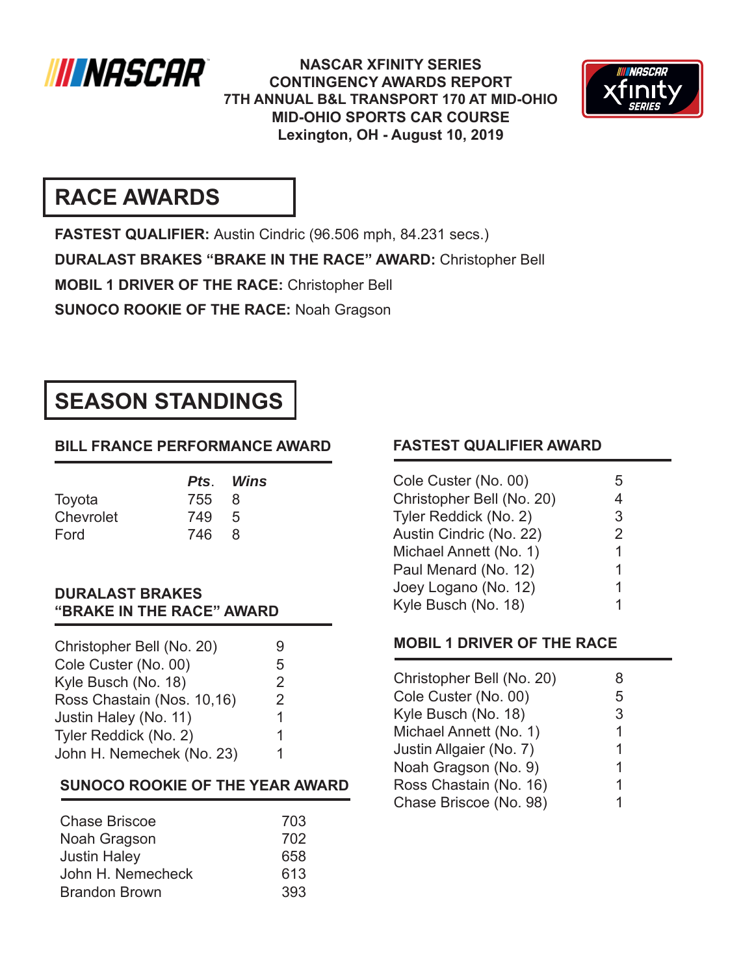

**NASCAR XFINITY SERIES CONTINGENCY AWARDS REPORT 7TH ANNUAL B&L TRANSPORT 170 AT MID-OHIO MID-OHIO SPORTS CAR COURSE Lexington, OH - August 10, 2019**



# **RACE AWARDS**

**FASTEST QUALIFIER:** Austin Cindric (96.506 mph, 84.231 secs.) **DURALAST BRAKES "BRAKE IN THE RACE" AWARD:** Christopher Bell **MOBIL 1 DRIVER OF THE RACE:** Christopher Bell **SUNOCO ROOKIE OF THE RACE:** Noah Gragson

# **SEASON STANDINGS**

# **BILL FRANCE PERFORMANCE AWARD**

|           |       | Pts. Wins |
|-----------|-------|-----------|
| Toyota    | 755 8 |           |
| Chevrolet | 749 5 |           |
| Ford      | 746   | -8        |

#### **DURALAST BRAKES "BRAKE IN THE RACE" AWARD**

| Christopher Bell (No. 20)  |                |
|----------------------------|----------------|
| Cole Custer (No. 00)       | 5              |
| Kyle Busch (No. 18)        | 2              |
| Ross Chastain (Nos. 10,16) | $\overline{2}$ |
| Justin Haley (No. 11)      | 1              |
| Tyler Reddick (No. 2)      |                |
| John H. Nemechek (No. 23)  |                |
|                            |                |

### **SUNOCO ROOKIE OF THE YEAR AWARD**

| <b>Chase Briscoe</b> | 703 |
|----------------------|-----|
| Noah Gragson         | 702 |
| <b>Justin Haley</b>  | 658 |
| John H. Nemecheck    | 613 |
| <b>Brandon Brown</b> | 393 |

### **FASTEST QUALIFIER AWARD**

| Cole Custer (No. 00)      | ٠h |
|---------------------------|----|
| Christopher Bell (No. 20) | 4  |
| Tyler Reddick (No. 2)     | 3  |
| Austin Cindric (No. 22)   | 2  |
| Michael Annett (No. 1)    | 1  |
| Paul Menard (No. 12)      | 1  |
| Joey Logano (No. 12)      | 1  |
| Kyle Busch (No. 18)       |    |

### **MOBIL 1 DRIVER OF THE RACE**

| Christopher Bell (No. 20) |   |
|---------------------------|---|
| Cole Custer (No. 00)      | 5 |
| Kyle Busch (No. 18)       | 3 |
| Michael Annett (No. 1)    | 1 |
| Justin Allgaier (No. 7)   | 1 |
| Noah Gragson (No. 9)      | 1 |
| Ross Chastain (No. 16)    | 1 |
| Chase Briscoe (No. 98)    |   |